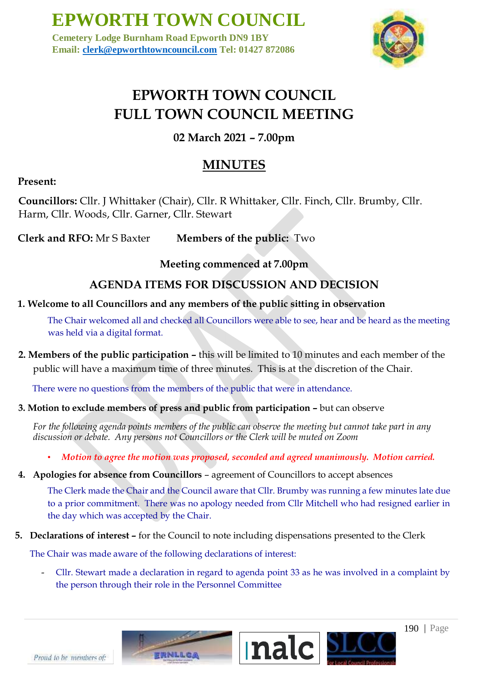**Cemetery Lodge Burnham Road Epworth DN9 1BY Email: clerk@epworthtowncouncil.com Tel: 01427 872086**



### **EPWORTH TOWN COUNCIL FULL TOWN COUNCIL MEETING**

**02 March 2021 – 7.00pm** 

### **MINUTES**

### **Present:**

**Councillors:** Cllr. J Whittaker (Chair), Cllr. R Whittaker, Cllr. Finch, Cllr. Brumby, Cllr. Harm, Cllr. Woods, Cllr. Garner, Cllr. Stewart

**Clerk and RFO:** Mr S Baxter **Members of the public:** Two

**Meeting commenced at 7.00pm**

### **AGENDA ITEMS FOR DISCUSSION AND DECISION**

### **1. Welcome to all Councillors and any members of the public sitting in observation**

The Chair welcomed all and checked all Councillors were able to see, hear and be heard as the meeting was held via a digital format.

**2. Members of the public participation –** this will be limited to 10 minutes and each member of the public will have a maximum time of three minutes. This is at the discretion of the Chair.

There were no questions from the members of the public that were in attendance.

### **3. Motion to exclude members of press and public from participation –** but can observe

*For the following agenda points members of the public can observe the meeting but cannot take part in any discussion or debate. Any persons not Councillors or the Clerk will be muted on Zoom* 

- *Motion to agree the motion was proposed, seconded and agreed unanimously. Motion carried.*
- **4. Apologies for absence from Councillors**  agreement of Councillors to accept absences

The Clerk made the Chair and the Council aware that Cllr. Brumby was running a few minutes late due to a prior commitment. There was no apology needed from Cllr Mitchell who had resigned earlier in the day which was accepted by the Chair.

**5. Declarations of interest –** for the Council to note including dispensations presented to the Clerk

The Chair was made aware of the following declarations of interest:

- Cllr. Stewart made a declaration in regard to agenda point 33 as he was involved in a complaint by the person through their role in the Personnel Committee



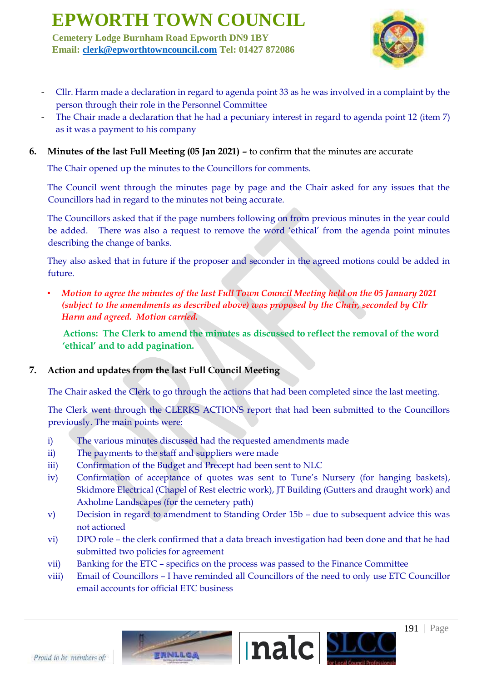**Cemetery Lodge Burnham Road Epworth DN9 1BY Email: clerk@epworthtowncouncil.com Tel: 01427 872086**



- Cllr. Harm made a declaration in regard to agenda point 33 as he was involved in a complaint by the person through their role in the Personnel Committee
- The Chair made a declaration that he had a pecuniary interest in regard to agenda point 12 (item 7) as it was a payment to his company
- **6. Minutes of the last Full Meeting (05 Jan 2021) –** to confirm that the minutes are accurate

The Chair opened up the minutes to the Councillors for comments.

The Council went through the minutes page by page and the Chair asked for any issues that the Councillors had in regard to the minutes not being accurate.

The Councillors asked that if the page numbers following on from previous minutes in the year could be added. There was also a request to remove the word 'ethical' from the agenda point minutes describing the change of banks.

They also asked that in future if the proposer and seconder in the agreed motions could be added in future.

• *Motion to agree the minutes of the last Full Town Council Meeting held on the 05 January 2021 (subject to the amendments as described above) was proposed by the Chair, seconded by Cllr Harm and agreed. Motion carried.*

**Actions: The Clerk to amend the minutes as discussed to reflect the removal of the word 'ethical' and to add pagination.**

### **7. Action and updates from the last Full Council Meeting**

The Chair asked the Clerk to go through the actions that had been completed since the last meeting.

The Clerk went through the CLERKS ACTIONS report that had been submitted to the Councillors previously. The main points were:

- i) The various minutes discussed had the requested amendments made
- ii) The payments to the staff and suppliers were made
- iii) Confirmation of the Budget and Precept had been sent to NLC

ERNLLCA

- iv) Confirmation of acceptance of quotes was sent to Tune's Nursery (for hanging baskets), Skidmore Electrical (Chapel of Rest electric work), JT Building (Gutters and draught work) and Axholme Landscapes (for the cemetery path)
- v) Decision in regard to amendment to Standing Order 15b due to subsequent advice this was not actioned
- vi) DPO role the clerk confirmed that a data breach investigation had been done and that he had submitted two policies for agreement
- vii) Banking for the ETC specifics on the process was passed to the Finance Committee
- viii) Email of Councillors I have reminded all Councillors of the need to only use ETC Councillor email accounts for official ETC business



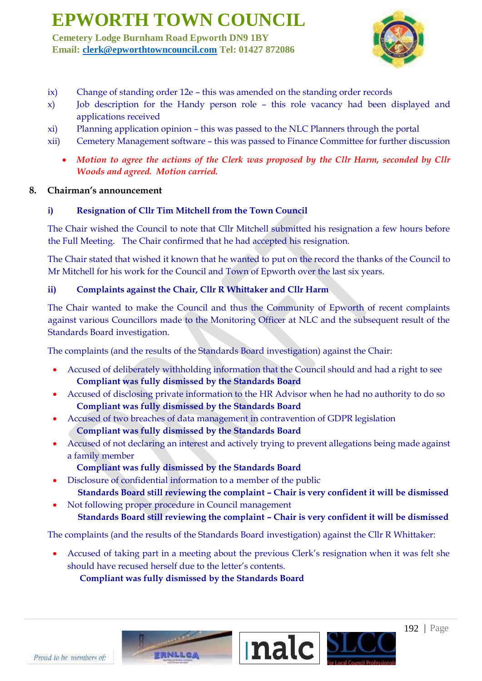**Cemetery Lodge Burnham Road Epworth DN9 1BY Email: clerk@epworthtowncouncil.com Tel: 01427 872086**



- ix) Change of standing order 12e this was amended on the standing order records
- x) Job description for the Handy person role this role vacancy had been displayed and applications received
- xi) Planning application opinion this was passed to the NLC Planners through the portal
- xii) Cemetery Management software this was passed to Finance Committee for further discussion
	- *Motion to agree the actions of the Clerk was proposed by the Cllr Harm, seconded by Cllr Woods and agreed. Motion carried.*

#### **8. Chairman's announcement**

#### **i) Resignation of Cllr Tim Mitchell from the Town Council**

The Chair wished the Council to note that Cllr Mitchell submitted his resignation a few hours before the Full Meeting. The Chair confirmed that he had accepted his resignation.

The Chair stated that wished it known that he wanted to put on the record the thanks of the Council to Mr Mitchell for his work for the Council and Town of Epworth over the last six years.

#### **ii) Complaints against the Chair, Cllr R Whittaker and Cllr Harm**

The Chair wanted to make the Council and thus the Community of Epworth of recent complaints against various Councillors made to the Monitoring Officer at NLC and the subsequent result of the Standards Board investigation.

The complaints (and the results of the Standards Board investigation) against the Chair:

- Accused of deliberately withholding information that the Council should and had a right to see **Compliant was fully dismissed by the Standards Board**
- Accused of disclosing private information to the HR Advisor when he had no authority to do so **Compliant was fully dismissed by the Standards Board**
- Accused of two breaches of data management in contravention of GDPR legislation **Compliant was fully dismissed by the Standards Board**
- Accused of not declaring an interest and actively trying to prevent allegations being made against a family member
	- **Compliant was fully dismissed by the Standards Board**
- Disclosure of confidential information to a member of the public  **Standards Board still reviewing the complaint – Chair is very confident it will be dismissed**
- Not following proper procedure in Council management  **Standards Board still reviewing the complaint – Chair is very confident it will be dismissed**

The complaints (and the results of the Standards Board investigation) against the Cllr R Whittaker:

• Accused of taking part in a meeting about the previous Clerk's resignation when it was felt she should have recused herself due to the letter's contents.

 **Compliant was fully dismissed by the Standards Board**

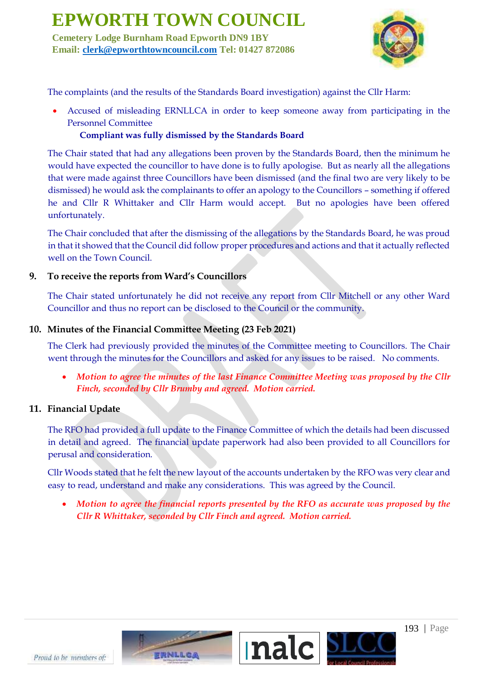**Cemetery Lodge Burnham Road Epworth DN9 1BY Email: clerk@epworthtowncouncil.com Tel: 01427 872086**



The complaints (and the results of the Standards Board investigation) against the Cllr Harm:

• Accused of misleading ERNLLCA in order to keep someone away from participating in the Personnel Committee

#### **Compliant was fully dismissed by the Standards Board**

The Chair stated that had any allegations been proven by the Standards Board, then the minimum he would have expected the councillor to have done is to fully apologise. But as nearly all the allegations that were made against three Councillors have been dismissed (and the final two are very likely to be dismissed) he would ask the complainants to offer an apology to the Councillors – something if offered he and Cllr R Whittaker and Cllr Harm would accept. But no apologies have been offered unfortunately.

The Chair concluded that after the dismissing of the allegations by the Standards Board, he was proud in that it showed that the Council did follow proper procedures and actions and that it actually reflected well on the Town Council.

#### **9. To receive the reports from Ward's Councillors**

The Chair stated unfortunately he did not receive any report from Cllr Mitchell or any other Ward Councillor and thus no report can be disclosed to the Council or the community.

#### **10. Minutes of the Financial Committee Meeting (23 Feb 2021)**

The Clerk had previously provided the minutes of the Committee meeting to Councillors. The Chair went through the minutes for the Councillors and asked for any issues to be raised. No comments.

• *Motion to agree the minutes of the last Finance Committee Meeting was proposed by the Cllr Finch, seconded by Cllr Brumby and agreed. Motion carried.*

#### **11. Financial Update**

The RFO had provided a full update to the Finance Committee of which the details had been discussed in detail and agreed. The financial update paperwork had also been provided to all Councillors for perusal and consideration.

Cllr Woods stated that he felt the new layout of the accounts undertaken by the RFO was very clear and easy to read, understand and make any considerations. This was agreed by the Council.

• *Motion to agree the financial reports presented by the RFO as accurate was proposed by the Cllr R Whittaker, seconded by Cllr Finch and agreed. Motion carried.*

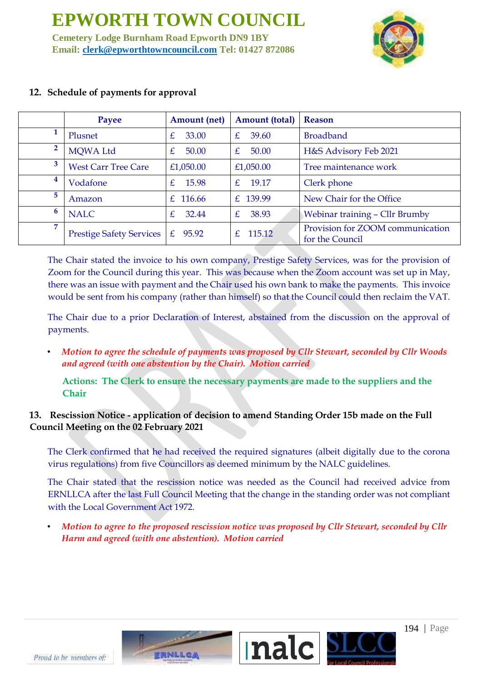**Cemetery Lodge Burnham Road Epworth DN9 1BY Email: clerk@epworthtowncouncil.com Tel: 01427 872086**



|   | Payee                           | <b>Amount</b> (net)    | <b>Amount (total)</b>          | Reason                                              |
|---|---------------------------------|------------------------|--------------------------------|-----------------------------------------------------|
|   | Plusnet                         | £<br>33.00             | $\mathcal{F}_{\cdot}$<br>39.60 | <b>Broadband</b>                                    |
| 2 | <b>MOWA Ltd</b>                 | £<br>50.00             | E<br>50.00                     | H&S Advisory Feb 2021                               |
| 3 | <b>West Carr Tree Care</b>      | £1,050.00              | £1,050.00                      | Tree maintenance work                               |
| 4 | Vodafone                        | 15.98<br>$\mathcal{F}$ | $\mathcal{F}_{\cdot}$<br>19.17 | Clerk phone                                         |
| 5 | Amazon                          | £ 116.66               | £ 139.99                       | New Chair for the Office                            |
| 6 | <b>NALC</b>                     | 32.44<br>£             | £<br>38.93                     | <b>Webinar training - Cllr Brumby</b>               |
| 7 | <b>Prestige Safety Services</b> | £ $95.92$              | 115.12<br>$\mathcal{F}$        | Provision for ZOOM communication<br>for the Council |

### **12. Schedule of payments for approval**

The Chair stated the invoice to his own company, Prestige Safety Services, was for the provision of Zoom for the Council during this year. This was because when the Zoom account was set up in May, there was an issue with payment and the Chair used his own bank to make the payments. This invoice would be sent from his company (rather than himself) so that the Council could then reclaim the VAT.

The Chair due to a prior Declaration of Interest, abstained from the discussion on the approval of payments.

• *Motion to agree the schedule of payments was proposed by Cllr Stewart, seconded by Cllr Woods and agreed (with one abstention by the Chair). Motion carried*

**Actions: The Clerk to ensure the necessary payments are made to the suppliers and the Chair**

### **13. Rescission Notice - application of decision to amend Standing Order 15b made on the Full Council Meeting on the 02 February 2021**

The Clerk confirmed that he had received the required signatures (albeit digitally due to the corona virus regulations) from five Councillors as deemed minimum by the NALC guidelines.

The Chair stated that the rescission notice was needed as the Council had received advice from ERNLLCA after the last Full Council Meeting that the change in the standing order was not compliant with the Local Government Act 1972.

• *Motion to agree to the proposed rescission notice was proposed by Cllr Stewart, seconded by Cllr Harm and agreed (with one abstention). Motion carried*

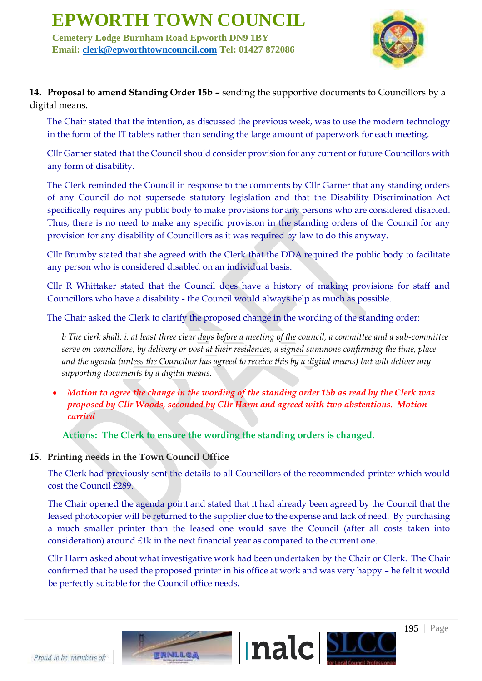**Cemetery Lodge Burnham Road Epworth DN9 1BY Email: clerk@epworthtowncouncil.com Tel: 01427 872086**



**14. Proposal to amend Standing Order 15b –** sending the supportive documents to Councillors by a digital means.

The Chair stated that the intention, as discussed the previous week, was to use the modern technology in the form of the IT tablets rather than sending the large amount of paperwork for each meeting.

Cllr Garner stated that the Council should consider provision for any current or future Councillors with any form of disability.

The Clerk reminded the Council in response to the comments by Cllr Garner that any standing orders of any Council do not supersede statutory legislation and that the Disability Discrimination Act specifically requires any public body to make provisions for any persons who are considered disabled. Thus, there is no need to make any specific provision in the standing orders of the Council for any provision for any disability of Councillors as it was required by law to do this anyway.

Cllr Brumby stated that she agreed with the Clerk that the DDA required the public body to facilitate any person who is considered disabled on an individual basis.

Cllr R Whittaker stated that the Council does have a history of making provisions for staff and Councillors who have a disability - the Council would always help as much as possible.

The Chair asked the Clerk to clarify the proposed change in the wording of the standing order:

*b The clerk shall: i. at least three clear days before a meeting of the council, a committee and a sub-committee serve on councillors, by delivery or post at their residences, a signed summons confirming the time, place and the agenda (unless the Councillor has agreed to receive this by a digital means) but will deliver any supporting documents by a digital means.*

• *Motion to agree the change in the wording of the standing order 15b as read by the Clerk was proposed by Cllr Woods, seconded by Cllr Harm and agreed with two abstentions. Motion carried*

**Actions: The Clerk to ensure the wording the standing orders is changed.**

### **15. Printing needs in the Town Council Office**

The Clerk had previously sent the details to all Councillors of the recommended printer which would cost the Council £289.

The Chair opened the agenda point and stated that it had already been agreed by the Council that the leased photocopier will be returned to the supplier due to the expense and lack of need. By purchasing a much smaller printer than the leased one would save the Council (after all costs taken into consideration) around  $E1k$  in the next financial year as compared to the current one.

Cllr Harm asked about what investigative work had been undertaken by the Chair or Clerk. The Chair confirmed that he used the proposed printer in his office at work and was very happy – he felt it would be perfectly suitable for the Council office needs.



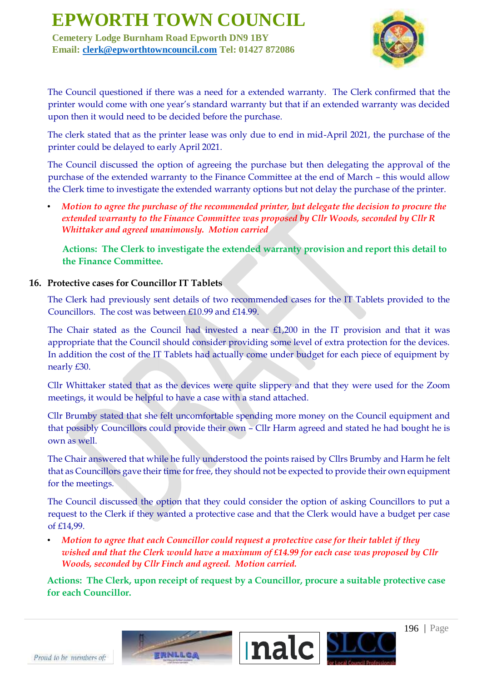**Cemetery Lodge Burnham Road Epworth DN9 1BY Email: clerk@epworthtowncouncil.com Tel: 01427 872086**



The Council questioned if there was a need for a extended warranty. The Clerk confirmed that the printer would come with one year's standard warranty but that if an extended warranty was decided upon then it would need to be decided before the purchase.

The clerk stated that as the printer lease was only due to end in mid-April 2021, the purchase of the printer could be delayed to early April 2021.

The Council discussed the option of agreeing the purchase but then delegating the approval of the purchase of the extended warranty to the Finance Committee at the end of March – this would allow the Clerk time to investigate the extended warranty options but not delay the purchase of the printer.

• *Motion to agree the purchase of the recommended printer, but delegate the decision to procure the extended warranty to the Finance Committee was proposed by Cllr Woods, seconded by Cllr R Whittaker and agreed unanimously. Motion carried*

**Actions: The Clerk to investigate the extended warranty provision and report this detail to the Finance Committee.**

### **16. Protective cases for Councillor IT Tablets**

The Clerk had previously sent details of two recommended cases for the IT Tablets provided to the Councillors. The cost was between £10.99 and £14.99.

The Chair stated as the Council had invested a near £1,200 in the IT provision and that it was appropriate that the Council should consider providing some level of extra protection for the devices. In addition the cost of the IT Tablets had actually come under budget for each piece of equipment by nearly £30.

Cllr Whittaker stated that as the devices were quite slippery and that they were used for the Zoom meetings, it would be helpful to have a case with a stand attached.

Cllr Brumby stated that she felt uncomfortable spending more money on the Council equipment and that possibly Councillors could provide their own – Cllr Harm agreed and stated he had bought he is own as well.

The Chair answered that while he fully understood the points raised by Cllrs Brumby and Harm he felt that as Councillors gave their time for free, they should not be expected to provide their own equipment for the meetings.

The Council discussed the option that they could consider the option of asking Councillors to put a request to the Clerk if they wanted a protective case and that the Clerk would have a budget per case of £14,99.

• *Motion to agree that each Councillor could request a protective case for their tablet if they wished and that the Clerk would have a maximum of £14.99 for each case was proposed by Cllr Woods, seconded by Cllr Finch and agreed. Motion carried.*

**Actions: The Clerk, upon receipt of request by a Councillor, procure a suitable protective case for each Councillor.**

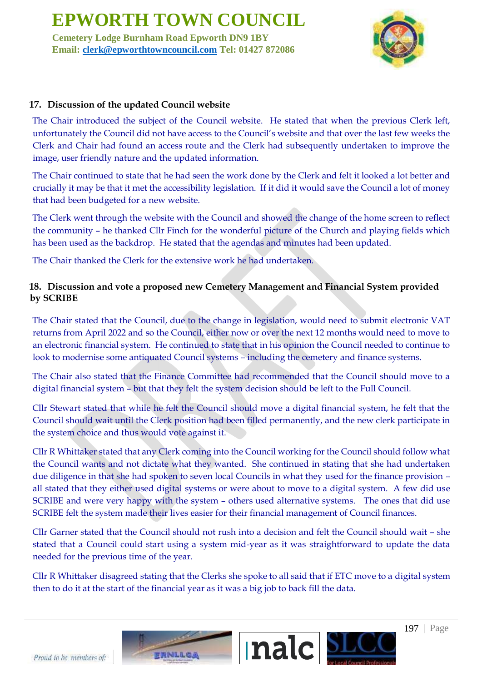**Cemetery Lodge Burnham Road Epworth DN9 1BY Email: clerk@epworthtowncouncil.com Tel: 01427 872086**



### **17. Discussion of the updated Council website**

The Chair introduced the subject of the Council website. He stated that when the previous Clerk left, unfortunately the Council did not have access to the Council's website and that over the last few weeks the Clerk and Chair had found an access route and the Clerk had subsequently undertaken to improve the image, user friendly nature and the updated information.

The Chair continued to state that he had seen the work done by the Clerk and felt it looked a lot better and crucially it may be that it met the accessibility legislation. If it did it would save the Council a lot of money that had been budgeted for a new website.

The Clerk went through the website with the Council and showed the change of the home screen to reflect the community – he thanked Cllr Finch for the wonderful picture of the Church and playing fields which has been used as the backdrop. He stated that the agendas and minutes had been updated.

The Chair thanked the Clerk for the extensive work he had undertaken.

### **18. Discussion and vote a proposed new Cemetery Management and Financial System provided by SCRIBE**

The Chair stated that the Council, due to the change in legislation, would need to submit electronic VAT returns from April 2022 and so the Council, either now or over the next 12 months would need to move to an electronic financial system. He continued to state that in his opinion the Council needed to continue to look to modernise some antiquated Council systems – including the cemetery and finance systems.

The Chair also stated that the Finance Committee had recommended that the Council should move to a digital financial system – but that they felt the system decision should be left to the Full Council.

Cllr Stewart stated that while he felt the Council should move a digital financial system, he felt that the Council should wait until the Clerk position had been filled permanently, and the new clerk participate in the system choice and thus would vote against it.

Cllr R Whittaker stated that any Clerk coming into the Council working for the Council should follow what the Council wants and not dictate what they wanted. She continued in stating that she had undertaken due diligence in that she had spoken to seven local Councils in what they used for the finance provision – all stated that they either used digital systems or were about to move to a digital system. A few did use SCRIBE and were very happy with the system – others used alternative systems. The ones that did use SCRIBE felt the system made their lives easier for their financial management of Council finances.

Cllr Garner stated that the Council should not rush into a decision and felt the Council should wait – she stated that a Council could start using a system mid-year as it was straightforward to update the data needed for the previous time of the year.

Cllr R Whittaker disagreed stating that the Clerks she spoke to all said that if ETC move to a digital system then to do it at the start of the financial year as it was a big job to back fill the data.



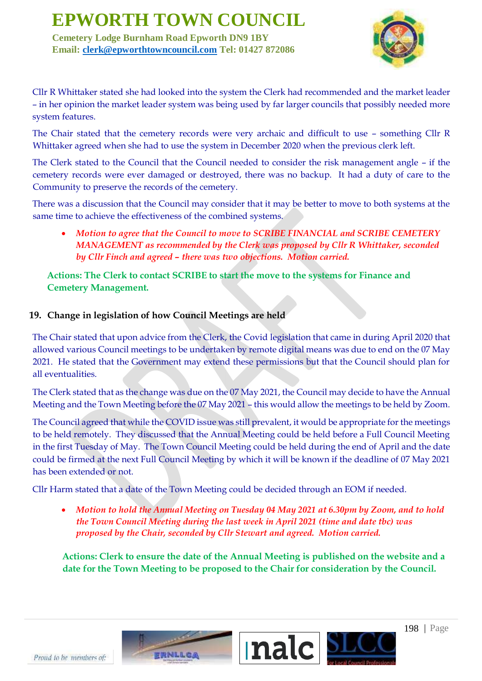**Cemetery Lodge Burnham Road Epworth DN9 1BY Email: clerk@epworthtowncouncil.com Tel: 01427 872086**



Cllr R Whittaker stated she had looked into the system the Clerk had recommended and the market leader – in her opinion the market leader system was being used by far larger councils that possibly needed more system features.

The Chair stated that the cemetery records were very archaic and difficult to use – something Cllr R Whittaker agreed when she had to use the system in December 2020 when the previous clerk left.

The Clerk stated to the Council that the Council needed to consider the risk management angle – if the cemetery records were ever damaged or destroyed, there was no backup. It had a duty of care to the Community to preserve the records of the cemetery.

There was a discussion that the Council may consider that it may be better to move to both systems at the same time to achieve the effectiveness of the combined systems.

• *Motion to agree that the Council to move to SCRIBE FINANCIAL and SCRIBE CEMETERY MANAGEMENT as recommended by the Clerk was proposed by Cllr R Whittaker, seconded by Cllr Finch and agreed – there was two objections. Motion carried.*

**Actions: The Clerk to contact SCRIBE to start the move to the systems for Finance and Cemetery Management.**

### **19. Change in legislation of how Council Meetings are held**

The Chair stated that upon advice from the Clerk, the Covid legislation that came in during April 2020 that allowed various Council meetings to be undertaken by remote digital means was due to end on the 07 May 2021. He stated that the Government may extend these permissions but that the Council should plan for all eventualities.

The Clerk stated that as the change was due on the 07 May 2021, the Council may decide to have the Annual Meeting and the Town Meeting before the 07 May 2021 – this would allow the meetings to be held by Zoom.

The Council agreed that while the COVID issue was still prevalent, it would be appropriate for the meetings to be held remotely. They discussed that the Annual Meeting could be held before a Full Council Meeting in the first Tuesday of May. The Town Council Meeting could be held during the end of April and the date could be firmed at the next Full Council Meeting by which it will be known if the deadline of 07 May 2021 has been extended or not.

Cllr Harm stated that a date of the Town Meeting could be decided through an EOM if needed.

• *Motion to hold the Annual Meeting on Tuesday 04 May 2021 at 6.30pm by Zoom, and to hold the Town Council Meeting during the last week in April 2021 (time and date tbc) was proposed by the Chair, seconded by Cllr Stewart and agreed. Motion carried.*

**Actions: Clerk to ensure the date of the Annual Meeting is published on the website and a date for the Town Meeting to be proposed to the Chair for consideration by the Council.**



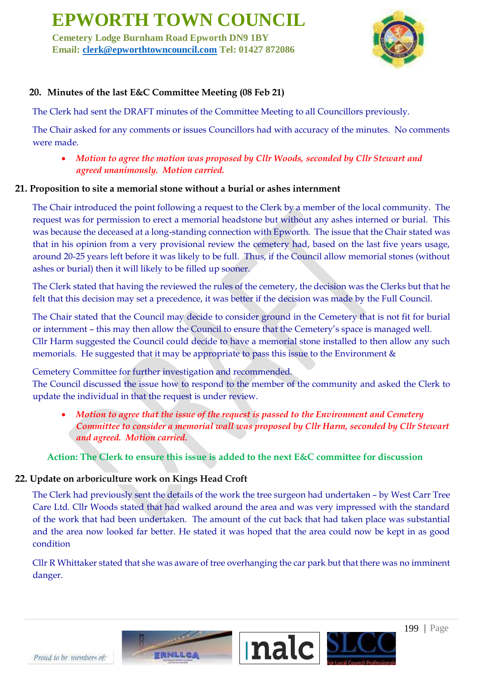**Cemetery Lodge Burnham Road Epworth DN9 1BY Email: clerk@epworthtowncouncil.com Tel: 01427 872086**



### **20. Minutes of the last E&C Committee Meeting (08 Feb 21)**

The Clerk had sent the DRAFT minutes of the Committee Meeting to all Councillors previously.

The Chair asked for any comments or issues Councillors had with accuracy of the minutes. No comments were made.

• *Motion to agree the motion was proposed by Cllr Woods, seconded by Cllr Stewart and agreed unanimously. Motion carried.*

#### **21. Proposition to site a memorial stone without a burial or ashes internment**

The Chair introduced the point following a request to the Clerk by a member of the local community. The request was for permission to erect a memorial headstone but without any ashes interned or burial. This was because the deceased at a long-standing connection with Epworth. The issue that the Chair stated was that in his opinion from a very provisional review the cemetery had, based on the last five years usage, around 20-25 years left before it was likely to be full. Thus, if the Council allow memorial stones (without ashes or burial) then it will likely to be filled up sooner.

The Clerk stated that having the reviewed the rules of the cemetery, the decision was the Clerks but that he felt that this decision may set a precedence, it was better if the decision was made by the Full Council.

The Chair stated that the Council may decide to consider ground in the Cemetery that is not fit for burial or internment – this may then allow the Council to ensure that the Cemetery's space is managed well. Cllr Harm suggested the Council could decide to have a memorial stone installed to then allow any such memorials. He suggested that it may be appropriate to pass this issue to the Environment &

Cemetery Committee for further investigation and recommended.

The Council discussed the issue how to respond to the member of the community and asked the Clerk to update the individual in that the request is under review.

• *Motion to agree that the issue of the request is passed to the Environment and Cemetery Committee to consider a memorial wall was proposed by Cllr Harm, seconded by Cllr Stewart and agreed. Motion carried.*

#### **Action: The Clerk to ensure this issue is added to the next E&C committee for discussion**

#### **22. Update on arboriculture work on Kings Head Croft**

The Clerk had previously sent the details of the work the tree surgeon had undertaken – by West Carr Tree Care Ltd. Cllr Woods stated that had walked around the area and was very impressed with the standard of the work that had been undertaken. The amount of the cut back that had taken place was substantial and the area now looked far better. He stated it was hoped that the area could now be kept in as good condition

Cllr R Whittaker stated that she was aware of tree overhanging the car park but that there was no imminent danger.



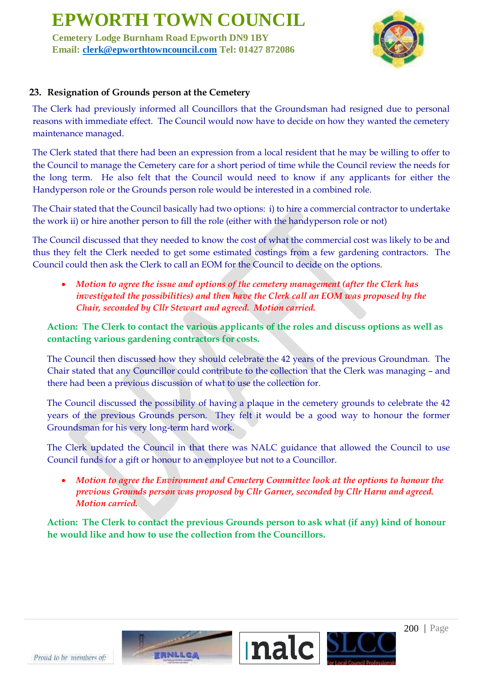**Cemetery Lodge Burnham Road Epworth DN9 1BY Email: clerk@epworthtowncouncil.com Tel: 01427 872086**



### **23. Resignation of Grounds person at the Cemetery**

The Clerk had previously informed all Councillors that the Groundsman had resigned due to personal reasons with immediate effect. The Council would now have to decide on how they wanted the cemetery maintenance managed.

The Clerk stated that there had been an expression from a local resident that he may be willing to offer to the Council to manage the Cemetery care for a short period of time while the Council review the needs for the long term. He also felt that the Council would need to know if any applicants for either the Handyperson role or the Grounds person role would be interested in a combined role.

The Chair stated that the Council basically had two options: i) to hire a commercial contractor to undertake the work ii) or hire another person to fill the role (either with the handyperson role or not)

The Council discussed that they needed to know the cost of what the commercial cost was likely to be and thus they felt the Clerk needed to get some estimated costings from a few gardening contractors. The Council could then ask the Clerk to call an EOM for the Council to decide on the options.

• *Motion to agree the issue and options of the cemetery management (after the Clerk has investigated the possibilities) and then have the Clerk call an EOM was proposed by the Chair, seconded by Cllr Stewart and agreed. Motion carried.*

**Action: The Clerk to contact the various applicants of the roles and discuss options as well as contacting various gardening contractors for costs.**

The Council then discussed how they should celebrate the 42 years of the previous Groundman. The Chair stated that any Councillor could contribute to the collection that the Clerk was managing – and there had been a previous discussion of what to use the collection for.

The Council discussed the possibility of having a plaque in the cemetery grounds to celebrate the 42 years of the previous Grounds person. They felt it would be a good way to honour the former Groundsman for his very long-term hard work.

The Clerk updated the Council in that there was NALC guidance that allowed the Council to use Council funds for a gift or honour to an employee but not to a Councillor.

• *Motion to agree the Environment and Cemetery Committee look at the options to honour the previous Grounds person was proposed by Cllr Garner, seconded by Cllr Harm and agreed. Motion carried.*

**Action: The Clerk to contact the previous Grounds person to ask what (if any) kind of honour he would like and how to use the collection from the Councillors.**

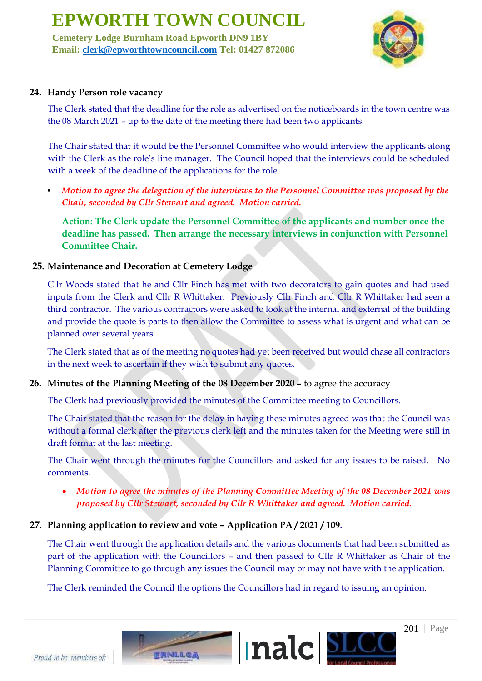**Cemetery Lodge Burnham Road Epworth DN9 1BY Email: clerk@epworthtowncouncil.com Tel: 01427 872086**



### **24. Handy Person role vacancy**

The Clerk stated that the deadline for the role as advertised on the noticeboards in the town centre was the 08 March 2021 – up to the date of the meeting there had been two applicants.

The Chair stated that it would be the Personnel Committee who would interview the applicants along with the Clerk as the role's line manager. The Council hoped that the interviews could be scheduled with a week of the deadline of the applications for the role.

• *Motion to agree the delegation of the interviews to the Personnel Committee was proposed by the Chair, seconded by Cllr Stewart and agreed. Motion carried.*

**Action: The Clerk update the Personnel Committee of the applicants and number once the deadline has passed. Then arrange the necessary interviews in conjunction with Personnel Committee Chair.**

### **25. Maintenance and Decoration at Cemetery Lodge**

Cllr Woods stated that he and Cllr Finch has met with two decorators to gain quotes and had used inputs from the Clerk and Cllr R Whittaker. Previously Cllr Finch and Cllr R Whittaker had seen a third contractor. The various contractors were asked to look at the internal and external of the building and provide the quote is parts to then allow the Committee to assess what is urgent and what can be planned over several years.

The Clerk stated that as of the meeting no quotes had yet been received but would chase all contractors in the next week to ascertain if they wish to submit any quotes.

**26. Minutes of the Planning Meeting of the 08 December 2020 –** to agree the accuracy

The Clerk had previously provided the minutes of the Committee meeting to Councillors.

The Chair stated that the reason for the delay in having these minutes agreed was that the Council was without a formal clerk after the previous clerk left and the minutes taken for the Meeting were still in draft format at the last meeting.

The Chair went through the minutes for the Councillors and asked for any issues to be raised. No comments.

• *Motion to agree the minutes of the Planning Committee Meeting of the 08 December 2021 was proposed by Cllr Stewart, seconded by Cllr R Whittaker and agreed. Motion carried.*

### **27. Planning application to review and vote – Application PA / 2021 / 109.**

The Chair went through the application details and the various documents that had been submitted as part of the application with the Councillors – and then passed to Cllr R Whittaker as Chair of the Planning Committee to go through any issues the Council may or may not have with the application.

The Clerk reminded the Council the options the Councillors had in regard to issuing an opinion.



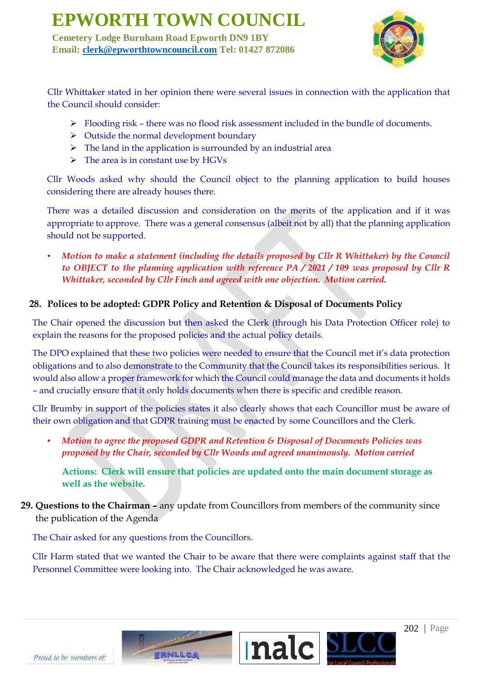**Cemetery Lodge Burnham Road Epworth DN9 1BY Email: clerk@epworthtowncouncil.com Tel: 01427 872086**



Cllr Whittaker stated in her opinion there were several issues in connection with the application that the Council should consider:

- ➢ Flooding risk there was no flood risk assessment included in the bundle of documents.
- $\triangleright$  Outside the normal development boundary
- $\triangleright$  The land in the application is surrounded by an industrial area
- $\triangleright$  The area is in constant use by HGVs

Cllr Woods asked why should the Council object to the planning application to build houses considering there are already houses there.

There was a detailed discussion and consideration on the merits of the application and if it was appropriate to approve. There was a general consensus (albeit not by all) that the planning application should not be supported.

• *Motion to make a statement (including the details proposed by Cllr R Whittaker) by the Council to OBJECT to the planning application with reference PA / 2021 / 109 was proposed by Cllr R Whittaker, seconded by Cllr Finch and agreed with one objection. Motion carried.*

### **28. Polices to be adopted: GDPR Policy and Retention & Disposal of Documents Policy**

The Chair opened the discussion but then asked the Clerk (through his Data Protection Officer role) to explain the reasons for the proposed policies and the actual policy details.

The DPO explained that these two policies were needed to ensure that the Council met it's data protection obligations and to also demonstrate to the Community that the Council takes its responsibilities serious. It would also allow a proper framework for which the Council could manage the data and documents it holds – and crucially ensure that it only holds documents when there is specific and credible reason.

Cllr Brumby in support of the policies states it also clearly shows that each Councillor must be aware of their own obligation and that GDPR training must be enacted by some Councillors and the Clerk.

• *Motion to agree the proposed GDPR and Retention & Disposal of Documents Policies was proposed by the Chair, seconded by Cllr Woods and agreed unanimously. Motion carried*

**Actions: Clerk will ensure that policies are updated onto the main document storage as well as the website.**

### **29. Questions to the Chairman –** any update from Councillors from members of the community since the publication of the Agenda

The Chair asked for any questions from the Councillors.

Cllr Harm stated that we wanted the Chair to be aware that there were complaints against staff that the Personnel Committee were looking into. The Chair acknowledged he was aware.